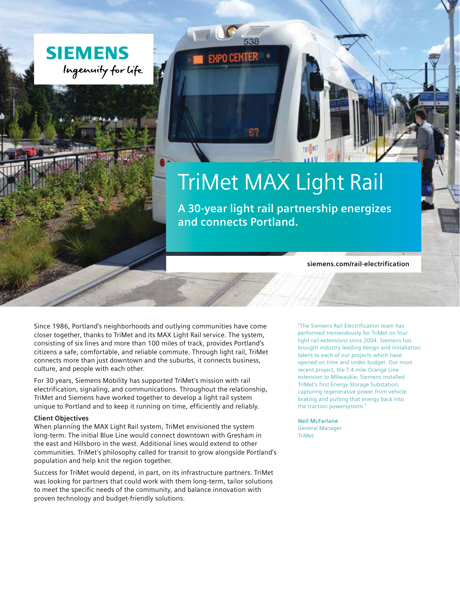



**A 30-year light rail partnership energizes and connects Portland.**

**siemens.com/rail-electrification** 

Since 1986, Portland's neighborhoods and outlying communities have come closer together, thanks to TriMet and its MAX Light Rail service. The system, consisting of six lines and more than 100 miles of track, provides Portland's citizens a safe, comfortable, and reliable commute. Through light rail, TriMet connects more than just downtown and the suburbs, it connects business, culture, and people with each other.

For 30 years, Siemens Mobility has supported TriMet's mission with rail electrification, signaling, and communications. Throughout the relationship, TriMet and Siemens have worked together to develop a light rail system unique to Portland and to keep it running on time, efficiently and reliably.

## **Client Objectives**

When planning the MAX Light Rail system, TriMet envisioned the system long-term. The initial Blue Line would connect downtown with Gresham in the east and Hillsboro in the west. Additional lines would extend to other communities. TriMet's philosophy called for transit to grow alongside Portland's population and help knit the region together.

Success for TriMet would depend, in part, on its infrastructure partners. TriMet was looking for partners that could work with them long-term, tailor solutions to meet the specific needs of the community, and balance innovation with proven technology and budget-friendly solutions.

"The Siemens Rail Electrification team has performed tremendously for TriMet on four light rail extensions since 2004. Siemens has brought industry leading design and installation talent to each of our projects which have opened on time and under budget. Our most recent project, the 7.4 mile Orange Line extension to Milwaukie, Siemens installed TriMet's first Energy Storage Substation, capturing regenerative power from vehicle braking and putting that energy back into the traction powersystem."

**Neil McFarlane**  General Manager **TriMet**